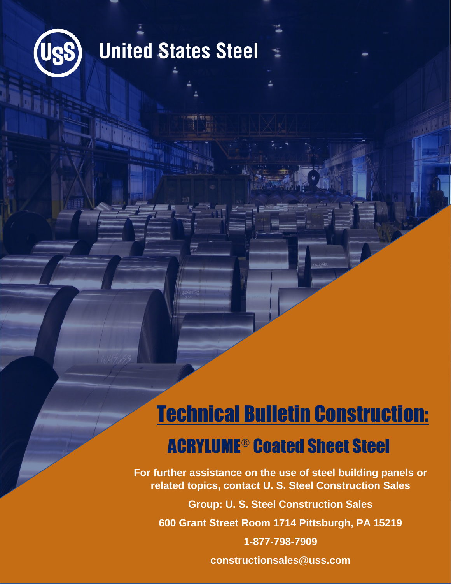

## **United States Steel**

## Technical Bulletin Construction: **ACRYLUME<sup>®</sup> Coated Sheet Steel**

**For further assistance on the use of steel building panels or related topics, contact U. S. Steel Construction Sales**

**Group: U. S. Steel Construction Sales**

**600 Grant Street Room 1714 Pittsburgh, PA 15219**

**1-877-798-7909**

**constructionsales@uss.com**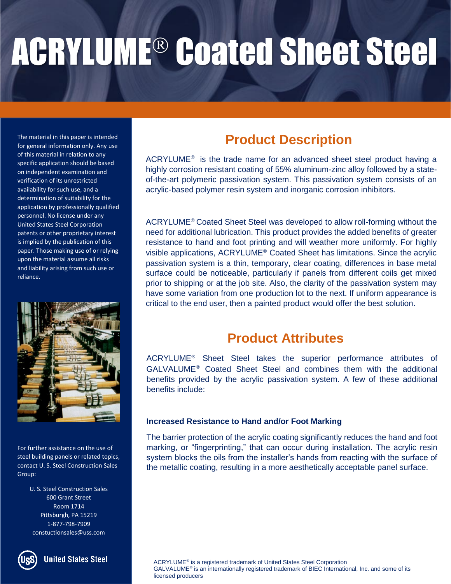# ACRYLUME® Coated Sheet Steel

The material in this paper is intended for general information only. Any use of this material in relation to any specific application should be based on independent examination and verification of its unrestricted availability for such use, and a determination of suitability for the application by professionally qualified personnel. No license under any United States Steel Corporation patents or other proprietary interest is implied by the publication of this paper. Those making use of or relying upon the material assume all risks and liability arising from such use or reliance.



For further assistance on the use of steel building panels or related topics, contact U. S. Steel Construction Sales Group:

> U. S. Steel Construction Sales 600 Grant Street Room 1714 Pittsburgh, PA 15219 1-877-798-7909 constuctionsales@uss.com



**United States Steel** 

### **Product Description**

ACRYLUME<sup>®</sup> is the trade name for an advanced sheet steel product having a highly corrosion resistant coating of 55% aluminum-zinc alloy followed by a stateof-the-art polymeric passivation system. This passivation system consists of an acrylic-based polymer resin system and inorganic corrosion inhibitors.

ACRYLUME<sup>®</sup> Coated Sheet Steel was developed to allow roll-forming without the need for additional lubrication. This product provides the added benefits of greater resistance to hand and foot printing and will weather more uniformly. For highly visible applications, ACRYLUME<sup>®</sup> Coated Sheet has limitations. Since the acrylic passivation system is a thin, temporary, clear coating, differences in base metal surface could be noticeable, particularly if panels from different coils get mixed prior to shipping or at the job site. Also, the clarity of the passivation system may have some variation from one production lot to the next. If uniform appearance is critical to the end user, then a painted product would offer the best solution.

### **Product Attributes**

ACRYLUME<sup>®</sup> Sheet Steel takes the superior performance attributes of GALVALUME<sup>®</sup> Coated Sheet Steel and combines them with the additional benefits provided by the acrylic passivation system. A few of these additional benefits include:

### **Increased Resistance to Hand and/or Foot Marking**

The barrier protection of the acrylic coating significantly reduces the hand and foot marking, or "fingerprinting," that can occur during installation. The acrylic resin system blocks the oils from the installer's hands from reacting with the surface of the metallic coating, resulting in a more aesthetically acceptable panel surface.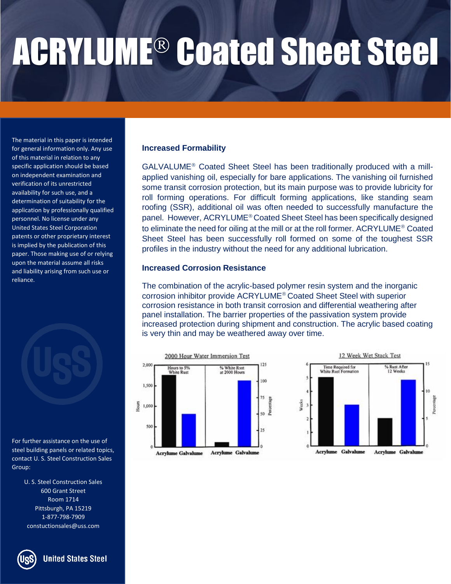# ACRYLUME® Coated Sheet Steel

The material in this paper is intended for general information only. Any use of this material in relation to any specific application should be based on independent examination and verification of its unrestricted availability for such use, and a determination of suitability for the application by professionally qualified personnel. No license under any United States Steel Corporation patents or other proprietary interest is implied by the publication of this paper. Those making use of or relying upon the material assume all risks and liability arising from such use or reliance.

For further assistance on the use of steel building panels or related topics, contact U. S. Steel Construction Sales Group:

> U. S. Steel Construction Sales 600 Grant Street Room 1714 Pittsburgh, PA 15219 1-877-798-7909 constuctionsales@uss.com

**United States Steel** 

#### **Increased Formability**

 $GALVALUME<sup>®</sup>$  Coated Sheet Steel has been traditionally produced with a millapplied vanishing oil, especially for bare applications. The vanishing oil furnished some transit corrosion protection, but its main purpose was to provide lubricity for roll forming operations. For difficult forming applications, like standing seam roofing (SSR), additional oil was often needed to successfully manufacture the panel. However, ACRYLUME® Coated Sheet Steel has been specifically designed to eliminate the need for oiling at the mill or at the roll former. ACRYLUME<sup>®</sup> Coated Sheet Steel has been successfully roll formed on some of the toughest SSR profiles in the industry without the need for any additional lubrication.

#### **Increased Corrosion Resistance**

The combination of the acrylic-based polymer resin system and the inorganic corrosion inhibitor provide ACRYLUME<sup>®</sup> Coated Sheet Steel with superior corrosion resistance in both transit corrosion and differential weathering after panel installation. The barrier properties of the passivation system provide increased protection during shipment and construction. The acrylic based coating is very thin and may be weathered away over time.